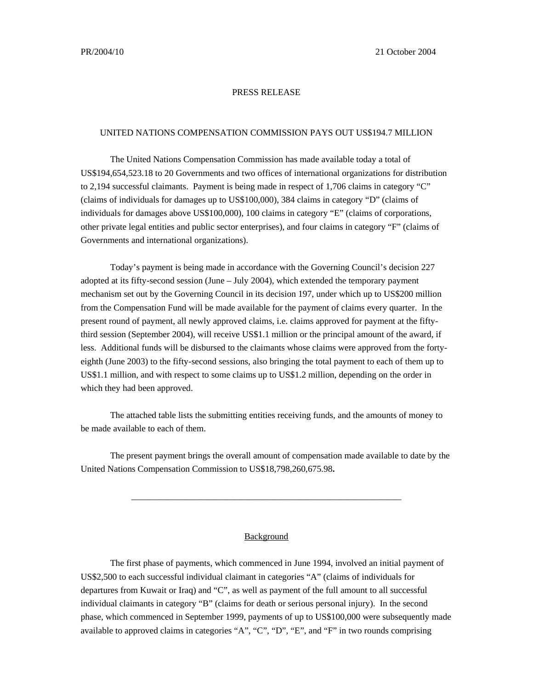## PRESS RELEASE

## UNITED NATIONS COMPENSATION COMMISSION PAYS OUT US\$194.7 MILLION

The United Nations Compensation Commission has made available today a total of US\$194,654,523.18 to 20 Governments and two offices of international organizations for distribution to 2,194 successful claimants. Payment is being made in respect of 1,706 claims in category "C" (claims of individuals for damages up to US\$100,000), 384 claims in category "D" (claims of individuals for damages above US\$100,000), 100 claims in category "E" (claims of corporations, other private legal entities and public sector enterprises), and four claims in category "F" (claims of Governments and international organizations).

Today's payment is being made in accordance with the Governing Council's decision 227 adopted at its fifty-second session (June – July 2004), which extended the temporary payment mechanism set out by the Governing Council in its decision 197, under which up to US\$200 million from the Compensation Fund will be made available for the payment of claims every quarter. In the present round of payment, all newly approved claims, i.e. claims approved for payment at the fiftythird session (September 2004), will receive US\$1.1 million or the principal amount of the award, if less. Additional funds will be disbursed to the claimants whose claims were approved from the fortyeighth (June 2003) to the fifty-second sessions, also bringing the total payment to each of them up to US\$1.1 million, and with respect to some claims up to US\$1.2 million, depending on the order in which they had been approved.

The attached table lists the submitting entities receiving funds, and the amounts of money to be made available to each of them.

The present payment brings the overall amount of compensation made available to date by the United Nations Compensation Commission to US\$18,798,260,675.98**.**

\_\_\_\_\_\_\_\_\_\_\_\_\_\_\_\_\_\_\_\_\_\_\_\_\_\_\_\_\_\_\_\_\_\_\_\_\_\_\_\_\_\_\_\_\_\_\_\_\_\_\_\_\_\_\_\_\_\_\_\_

## Background

The first phase of payments, which commenced in June 1994, involved an initial payment of US\$2,500 to each successful individual claimant in categories "A" (claims of individuals for departures from Kuwait or Iraq) and "C", as well as payment of the full amount to all successful individual claimants in category "B" (claims for death or serious personal injury). In the second phase, which commenced in September 1999, payments of up to US\$100,000 were subsequently made available to approved claims in categories "A", "C", "D", "E", and "F" in two rounds comprising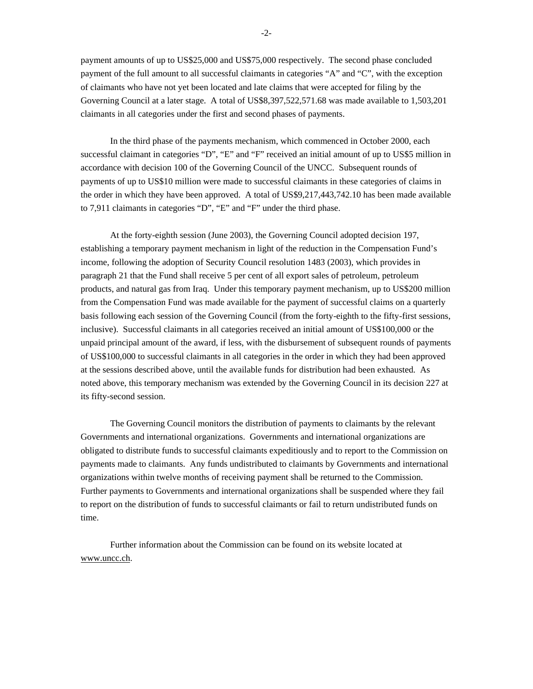payment amounts of up to US\$25,000 and US\$75,000 respectively. The second phase concluded payment of the full amount to all successful claimants in categories "A" and "C", with the exception of claimants who have not yet been located and late claims that were accepted for filing by the Governing Council at a later stage. A total of US\$8,397,522,571.68 was made available to 1,503,201 claimants in all categories under the first and second phases of payments.

In the third phase of the payments mechanism, which commenced in October 2000, each successful claimant in categories "D", "E" and "F" received an initial amount of up to US\$5 million in accordance with decision 100 of the Governing Council of the UNCC. Subsequent rounds of payments of up to US\$10 million were made to successful claimants in these categories of claims in the order in which they have been approved. A total of US\$9,217,443,742.10 has been made available to 7,911 claimants in categories "D", "E" and "F" under the third phase.

At the forty-eighth session (June 2003), the Governing Council adopted decision 197, establishing a temporary payment mechanism in light of the reduction in the Compensation Fund's income, following the adoption of Security Council resolution 1483 (2003), which provides in paragraph 21 that the Fund shall receive 5 per cent of all export sales of petroleum, petroleum products, and natural gas from Iraq. Under this temporary payment mechanism, up to US\$200 million from the Compensation Fund was made available for the payment of successful claims on a quarterly basis following each session of the Governing Council (from the forty-eighth to the fifty-first sessions, inclusive). Successful claimants in all categories received an initial amount of US\$100,000 or the unpaid principal amount of the award, if less, with the disbursement of subsequent rounds of payments of US\$100,000 to successful claimants in all categories in the order in which they had been approved at the sessions described above, until the available funds for distribution had been exhausted. As noted above, this temporary mechanism was extended by the Governing Council in its decision 227 at its fifty-second session.

The Governing Council monitors the distribution of payments to claimants by the relevant Governments and international organizations. Governments and international organizations are obligated to distribute funds to successful claimants expeditiously and to report to the Commission on payments made to claimants. Any funds undistributed to claimants by Governments and international organizations within twelve months of receiving payment shall be returned to the Commission. Further payments to Governments and international organizations shall be suspended where they fail to report on the distribution of funds to successful claimants or fail to return undistributed funds on time.

Further information about the Commission can be found on its website located at www.uncc.ch.